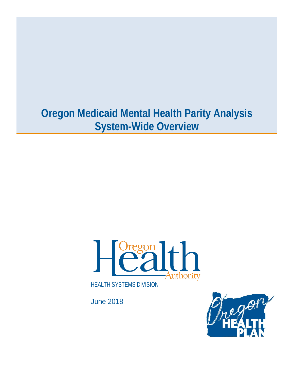# **Oregon Medicaid Mental Health Parity Analysis System-Wide Overview**



June 2018

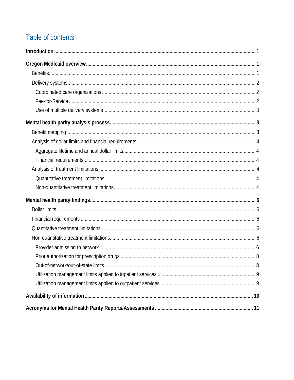# Table of contents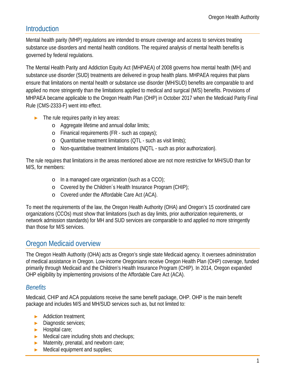# <span id="page-2-0"></span>Introduction

Mental health parity (MHP) regulations are intended to ensure coverage and access to services treating substance use disorders and mental health conditions. The required analysis of mental health benefits is governed by federal regulations.

The Mental Health Parity and Addiction Equity Act (MHPAEA) of 2008 governs how mental health (MH) and substance use disorder (SUD) treatments are delivered in group health plans. MHPAEA requires that plans ensure that limitations on mental health or substance use disorder (MH/SUD) benefits are comparable to and applied no more stringently than the limitations applied to medical and surgical (M/S) benefits. Provisions of MHPAEA became applicable to the Oregon Health Plan (OHP) in October 2017 when the Medicaid Parity Final Rule (CMS-2333-F) went into effect.

- The rule requires parity in key areas:
	- o Aggregate lifetime and annual dollar limits;
	- o Finanical requirements (FR such as copays);
	- o Quantitative treatment limitations (QTL such as visit limits);
	- o Non-quantitative treatment limitations (NQTL such as prior authorization).

The rule requires that limitations in the areas mentioned above are not more restrictive for MH/SUD than for M/S, for members:

- o In a managed care organization (such as a CCO);
- o Covered by the Children´s Health Insurance Program (CHIP);
- o Covered under the Affordable Care Act (ACA).

To meet the requirements of the law, the Oregon Health Authority (OHA) and Oregon's 15 coordinated care organizations (CCOs) must show that limitations (such as day limits, prior authorization requirements, or network admission standards) for MH and SUD services are comparable to and applied no more stringently than those for M/S services.

# <span id="page-2-1"></span>Oregon Medicaid overview

The Oregon Health Authority (OHA) acts as Oregon's single state Medicaid agency. It oversees administration of medical assistance in Oregon. Low-income Oregonians receive Oregon Health Plan (OHP) coverage, funded primarily through Medicaid and the Children's Health Insurance Program (CHIP). In 2014, Oregon expanded OHP eligibility by implementing provisions of the Affordable Care Act (ACA).

# <span id="page-2-2"></span>*Benefits*

Medicaid, CHIP and ACA populations receive the same benefit package, OHP. OHP is the main benefit package and includes M/S and MH/SUD services such as, but not limited to:

- ► Addiction treatment;
- ► Diagnostic services;
- ► Hospital care;
- ► Medical care including shots and checkups;
- ► Maternity, prenatal, and newborn care;
- ► Medical equipment and supplies;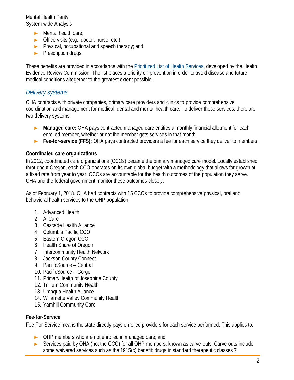- ► Mental health care;
- ► Office visits (e.g., doctor, nurse, etc.)
- ► Physical, occupational and speech therapy; and
- ► Prescription drugs.

These benefits are provided in accordance with the [Prioritized List of Health Services,](https://www.oregon.gov/oha/HPA/CSI-HERC/Pages/Prioritized-List.aspx) developed by the Health Evidence Review Commission. The list places a priority on prevention in order to avoid disease and future medical conditions altogether to the greatest extent possible.

# <span id="page-3-0"></span>*Delivery systems*

OHA contracts with private companies, primary care providers and clinics to provide comprehensive coordination and management for medical, dental and mental health care. To deliver these services, there are two delivery systems:

- ► **Managed care:** OHA pays contracted managed care entities a monthly financial allotment for each enrolled member, whether or not the member gets services in that month.
- ► **Fee-for-service (FFS):** OHA pays contracted providers a fee for each service they deliver to members.

#### <span id="page-3-1"></span>**Coordinated care organizations**

In 2012, coordinated care organizations (CCOs) became the primary managed care model. Locally established throughout Oregon, each CCO operates on its own global budget with a methodology that allows for growth at a fixed rate from year to year. CCOs are accountable for the health outcomes of the population they serve. OHA and the federal government monitor these outcomes closely.

As of February 1, 2018, OHA had contracts with 15 CCOs to provide comprehensive physical, oral and behavioral health services to the OHP population:

- 1. Advanced Health
- 2. AllCare
- 3. Cascade Health Alliance
- 4. Columbia Pacific CCO
- 5. Eastern Oregon CCO
- 6. Health Share of Oregon
- 7. Intercommunity Health Network
- 8. Jackson County Connect
- 9. PacificSource Central
- 10. PacificSource Gorge
- 11. PrimaryHealth of Josephine County
- 12. Trillium Community Health
- 13. Umpqua Health Alliance
- 14. Willamette Valley Community Health
- 15. Yamhill Community Care

## <span id="page-3-2"></span>**Fee-for-Service**

Fee-For-Service means the state directly pays enrolled providers for each service performed. This applies to:

- ► OHP members who are not enrolled in managed care; and
- Services paid by OHA (not the CCO) for all OHP members, known as carve-outs. Carve-outs include some waivered services such as the 1915(c) benefit; drugs in standard therapeutic classes 7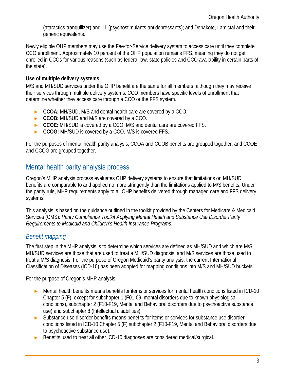(ataractics-tranquilizer) and 11 (psychostimulants-antidepressants); and Depakote, Lamictal and their generic equivalents.

Newly eligible OHP members may use the Fee-for-Service delivery system to access care until they complete CCO enrollment. Approximately 10 percent of the OHP population remains FFS, meaning they do not get enrolled in CCOs for various reasons (such as federal law, state policies and CCO availability in certain parts of the state).

## <span id="page-4-0"></span>**Use of multiple delivery systems**

M/S and MH/SUD services under the OHP benefit are the same for all members, although they may receive their services through multiple delivery systems. CCO members have specific levels of enrollment that determine whether they access care through a CCO or the FFS system.

- ► **CCOA:** MH/SUD, M/S and dental health care are covered by a CCO.
- ► **CCOB:** MH/SUD and M/S are covered by a CCO.
- ► **CCOE:** MH/SUD is covered by a CCO. M/S and dental care are covered FFS.
- ► **CCOG:** MH/SUD is covered by a CCO. M/S is covered FFS.

For the purposes of mental health parity analysis, CCOA and CCOB benefits are grouped together, and CCOE and CCOG are grouped together.

# <span id="page-4-1"></span>Mental health parity analysis process

Oregon's MHP analysis process evaluates OHP delivery systems to ensure that limitations on MH/SUD benefits are comparable to and applied no more stringently than the limitations applied to M/S benefits. Under the parity rule, MHP requirements apply to all OHP benefits delivered through managed care and FFS delivery systems.

This analysis is based on the guidance outlined in the toolkit provided by the Centers for Medicare & Medicaid Services (CMS): *Parity Compliance Toolkit Applying Mental Health and Substance Use Disorder Parity Requirements to Medicaid and Children's Health Insurance Programs*.

# <span id="page-4-2"></span>*Benefit mapping*

The first step in the MHP analysis is to determine which services are defined as MH/SUD and which are M/S. MH/SUD services are those that are used to treat a MH/SUD diagnosis, and M/S services are those used to treat a M/S diagnosis. For the purpose of Oregon Medicaid's parity analysis, the current International Classification of Diseases (ICD-10) has been adopted for mapping conditions into M/S and MH/SUD buckets.

For the purpose of Oregon's MHP analysis:

- ► Mental health benefits means benefits for items or services for mental health conditions listed in ICD-10 Chapter 5 (F), except for subchapter 1 (F01-09, mental disorders due to known physiological conditions), subchapter 2 (F10-F19, Mental and Behavioral disorders due to psychoactive substance use) and subchapter 8 (Intellectual disabilities).
- ► Substance use disorder benefits means benefits for items or services for substance use disorder conditions listed in ICD-10 Chapter 5 (F) subchapter 2 (F10-F19, Mental and Behavioral disorders due to psychoactive substance use).
- ► Benefits used to treat all other ICD-10 diagnoses are considered medical/surgical.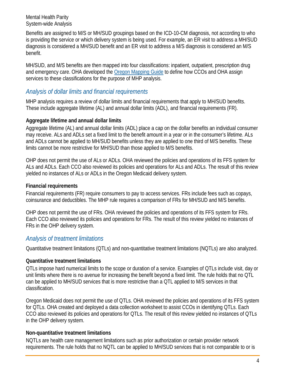Benefits are assigned to M/S or MH/SUD groupings based on the ICD-10-CM diagnosis, not according to who is providing the service or which delivery system is being used. For example, an ER visit to address a MH/SUD diagnosis is considered a MH/SUD benefit and an ER visit to address a M/S diagnosis is considered an M/S benefit.

MH/SUD, and M/S benefits are then mapped into four classifications: inpatient, outpatient, prescription drug and emergency care. OHA developed the [Oregon Mapping Guide](https://www.oregon.gov/oha/HSD/OHP/Tools/Guide%20to%20Mapping%20Oregon%20Medicaid%20Benefits%20and%20Services.pdf) to define how CCOs and OHA assign services to these classifications for the purpose of MHP analysis.

# <span id="page-5-0"></span>*Analysis of dollar limits and financial requirements*

MHP analysis requires a review of dollar limits and financial requirements that apply to MH/SUD benefits. These include aggregate lifetime (AL) and annual dollar limits (ADL), and financial requirements (FR).

## <span id="page-5-1"></span>**Aggregate lifetime and annual dollar limits**

Aggregate lifetime (AL) and annual dollar limits (ADL) place a cap on the dollar benefits an individual consumer may receive. ALs and ADLs set a fixed limit to the benefit amount in a year or in the consumer's lifetime. ALs and ADLs cannot be applied to MH/SUD benefits unless they are applied to one third of M/S benefits. These limits cannot be more restrictive for MH/SUD than those applied to M/S benefits.

OHP does not permit the use of ALs or ADLs. OHA reviewed the policies and operations of its FFS system for ALs and ADLs. Each CCO also reviewed its policies and operations for ALs and ADLs. The result of this review yielded no instances of ALs or ADLs in the Oregon Medicaid delivery system.

## <span id="page-5-2"></span>**Financial requirements**

Financial requirements (FR) require consumers to pay to access services. FRs include fees such as copays, coinsurance and deductibles. The MHP rule requires a comparison of FRs for MH/SUD and M/S benefits.

OHP does not permit the use of FRs. OHA reviewed the policies and operations of its FFS system for FRs. Each CCO also reviewed its policies and operations for FRs. The result of this review yielded no instances of FRs in the OHP delivery system.

# <span id="page-5-3"></span>*Analysis of treatment limitations*

Quantitative treatment limitations (QTLs) and non-quantitative treatment limitations (NQTLs) are also analyzed.

## <span id="page-5-4"></span>**Quantitative treatment limitations**

QTLs impose hard numerical limits to the scope or duration of a service. Examples of QTLs include visit, day or unit limits where there is no avenue for increasing the benefit beyond a fixed limit. The rule holds that no QTL can be applied to MH/SUD services that is more restrictive than a QTL applied to M/S services in that classification.

Oregon Medicaid does not permit the use of QTLs. OHA reviewed the policies and operations of its FFS system for QTLs. OHA created and deployed a data collection worksheet to assist CCOs in identifying QTLs. Each CCO also reviewed its policies and operations for QTLs. The result of this review yielded no instances of QTLs in the OHP delivery system.

# <span id="page-5-5"></span>**Non-quantitative treatment limitations**

NQTLs are health care management limitations such as prior authorization or certain provider network requirements. The rule holds that no NQTL can be applied to MH/SUD services that is not comparable to or is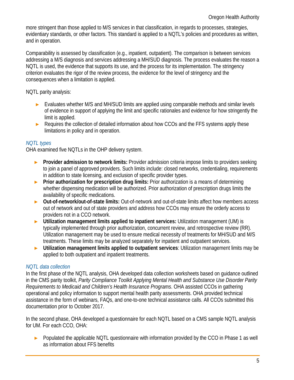more stringent than those applied to M/S services in that classification, in regards to processes, strategies, evidentiary standards, or other factors. This standard is applied to a NQTL's policies and procedures as written, and in operation.

Comparability is assessed by classification (e.g., inpatient, outpatient). The comparison is between services addressing a M/S diagnosis and services addressing a MH/SUD diagnosis. The process evaluates the reason a NQTL is used, the evidence that supports its use, and the process for its implementation. The stringency criterion evaluates the rigor of the review process, the evidence for the level of stringency and the consequences when a limitation is applied.

NQTL parity analysis:

- ► Evaluates whether M/S and MH/SUD limits are applied using comparable methods and similar levels of evidence in support of applying the limit and specific rationales and evidence for how stringently the limit is applied.
- ► Requires the collection of detailed information about how CCOs and the FFS systems apply these limitations in policy and in operation.

#### *NQTL types*

OHA examined five NQTLs in the OHP delivery system.

- ► **Provider admission to network limits:** Provider admission criteria impose limits to providers seeking to join a panel of approved providers. Such limits include: closed networks, credentialing, requirements in addition to state licensing, and exclusion of specific provider types.
- ► **Prior authorization for prescription drug limits:** Prior authorization is a means of determining whether dispensing medication will be authorized. Prior authorization of prescription drugs limits the availability of specific medications.
- ► **Out-of-network/out-of-state limits:** Out-of-network and out-of-state limits affect how members access out of network and out of state providers and address how CCOs may ensure the orderly access to providers not in a CCO network.
- ► **Utilization management limits applied to inpatient services:** Utilization management (UM) is typically implemented through prior authorization, concurrent review, and retrospective review (RR). Utilization management may be used to ensure medical necessity of treatments for MH/SUD and M/S treatments. These limits may be analyzed separately for inpatient and outpatient services.
- ► **Utilization management limits applied to outpatient services**: Utilization management limits may be applied to both outpatient and inpatient treatments.

## *NQTL data collection*

In the first phase of the NQTL analysis, OHA developed data collection worksheets based on guidance outlined in the CMS parity toolkit, *Parity Compliance Toolkit Applying Mental Health and Substance Use Disorder Parity Requirements to Medicaid and Children's Health Insurance Programs*. OHA assisted CCOs in gathering operational and policy information to support mental health parity assessments. OHA provided technical assistance in the form of webinars, FAQs, and one-to-one technical assistance calls. All CCOs submitted this documentation prior to October 2017.

In the second phase, OHA developed a questionnaire for each NQTL based on a CMS sample NQTL analysis for UM. For each CCO, OHA:

► Populated the applicable NQTL questionnaire with information provided by the CCO in Phase 1 as well as information about FFS benefits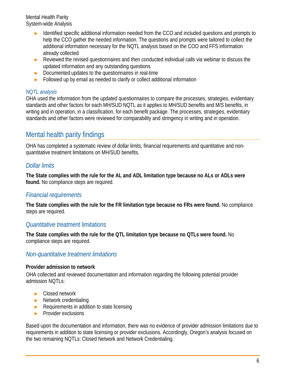- Identified specific additional information needed from the CCO and included questions and prompts to help the CCO gather the needed information. The questions and prompts were tailored to collect the additional information necessary for the NQTL analysis based on the COO and FFS information already collected
- ► Reviewed the revised questionnaires and then conducted individual calls via webinar to discuss the updated information and any outstanding questions
- ► Documented updates to the questionnaires in real-time
- ► Followed up by email as needed to clarify or collect additional information

#### *NQTL analysis*

OHA used the information from the updated questionnaires to compare the processes, strategies, evidentiary standards and other factors for each MH/SUD NQTL as it applies to MH/SUD benefits and M/S benefits, in writing and in operation, in a classification, for each benefit package. The processes, strategies, evidentiary standards and other factors were reviewed for comparability and stringency in writing and in operation.

# <span id="page-7-0"></span>Mental health parity findings

OHA has completed a systematic review of dollar limits, financial requirements and quantitative and nonquantitative treatment limitations on MH/SUD benefits.

# <span id="page-7-1"></span>*Dollar limits*

**The State complies with the rule for the AL and ADL limitation type because no ALs or ADLs were found.** No compliance steps are required.

# <span id="page-7-2"></span>*Financial requirements*

**The State complies with the rule for the FR limitation type because no FRs were found.** No compliance steps are required.

# <span id="page-7-3"></span>*Quantitative treatment limitations*

**The State complies with the rule for the QTL limitation type because no QTLs were found.** No compliance steps are required.

# <span id="page-7-4"></span>*Non-quantitative treatment limitations*

## <span id="page-7-5"></span>**Provider admission to network**

OHA collected and reviewed documentation and information regarding the following potential provider admission NQTLs:

- ► Closed network
- ► Network credentialing
- ► Requirements in addition to state licensing
- ► Provider exclusions

Based upon the documentation and information, there was no evidence of provider admission limitations due to requirements in addition to state licensing or provider exclusions. Accordingly, Oregon's analysis focused on the two remaining NQTLs: Closed Network and Network Credentialing.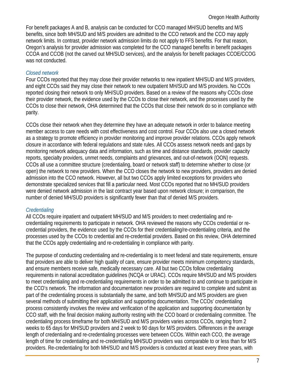For benefit packages A and B, analysis can be conducted for CCO managed MH/SUD benefits and M/S benefits, since both MH/SUD and M/S providers are admitted to the CCO network and the CCO may apply network limits. In contrast, provider network admission limits do not apply to FFS benefits. For that reason, Oregon's analysis for provider admission was completed for the CCO managed benefits in benefit packages CCOA and CCOB (not the carved out MH/SUD services), and the analysis for benefit packages CCOE/CCOG was not conducted.

## *Closed network*

Four CCOs reported that they may close their provider networks to new inpatient MH/SUD and M/S providers, and eight CCOs said they may close their network to new outpatient MH/SUD and M/S providers. No CCOs reported closing their network to only MH/SUD providers. Based on a review of the reasons why CCOs close their provider network, the evidence used by the CCOs to close their network, and the processes used by the CCOs to close their network, OHA determined that the CCOs that close their network do so in compliance with parity.

CCOs close their network when they determine they have an adequate network in order to balance meeting member access to care needs with cost effectiveness and cost control. Four CCOs also use a closed network as a strategy to promote efficiency in provider monitoring and improve provider relations. CCOs apply network closure in accordance with federal regulations and state rules. All CCOs assess network needs and gaps by monitoring network adequacy data and information, such as time and distance standards, provider capacity reports, specialty providers, unmet needs, complaints and grievances, and out-of-network (OON) requests. CCOs all use a committee structure (credentialing, board or network staff) to determine whether to close (or open) the network to new providers. When the CCO closes the network to new providers, providers are denied admission into the CCO network. However, all but two CCOs apply limited exceptions for providers who demonstrate specialized services that fill a particular need. Most CCOs reported that no MH/SUD providers were denied network admission in the last contract year based upon network closure; in comparison, the number of denied MH/SUD providers is significantly fewer than that of denied M/S providers.

## *Credentialing*

All CCOs require inpatient and outpatient MH/SUD and M/S providers to meet credentialing and recredentialing requirements to participate in network. OHA reviewed the reasons why CCOs credential or recredential providers, the evidence used by the CCOs for their credentialing/re-credentialing criteria, and the processes used by the CCOs to credential and re-credential providers. Based on this review, OHA determined that the CCOs apply credentialing and re-credentialing in compliance with parity.

The purpose of conducting credentialing and re-credentialing is to meet federal and state requirements, ensure that providers are able to deliver high quality of care, ensure provider meets minimum competency standards, and ensure members receive safe, medically necessary care. All but two CCOs follow credentialing requirements in national accreditation guidelines (NCQA or URAC). CCOs require MH/SUD and M/S providers to meet credentialing and re-credentialing requirements in order to be admitted to and continue to participate in the CCO's network. The information and documentation new providers are required to complete and submit as part of the credentialing process is substantially the same, and both MH/SUD and M/S providers are given several methods of submitting their application and supporting documentation. The CCOs' credentialing process consistently involves the review and verification of the application and supporting documentation by CCO staff, with the final decision making authority resting with the CCO board or credentialing committee. The credentialing process timeframe for both MH/SUD and M/S providers varies across CCOs, ranging from 2 weeks to 65 days for MH/SUD providers and 2 week to 90 days for M/S providers. Differences in the average length of credentialing and re-credentialing processes were between CCOs. Within each CCO, the average length of time for credentialing and re-credentialing MH/SUD providers was comparable to or less than for M/S providers. Re-credentialing for both MH/SUD and M/S providers is conducted at least every three years, with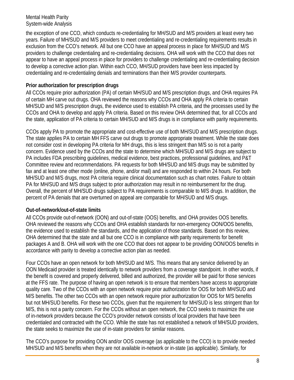the exception of one CCO, which conducts re-credentialing for MH/SUD and M/S providers at least every two years. Failure of MH/SUD and M/S providers to meet credentialing and re-credentialing requirements results in exclusion from the CCO's network. All but one CCO have an appeal process in place for MH/SUD and M/S providers to challenge credentialing and re-credentialing decisions. OHA will work with the CCO that does not appear to have an appeal process in place for providers to challenge credentialing and re-credentialing decision to develop a corrective action plan. Within each CCO, MH/SUD providers have been less impacted by credentialing and re-credentialing denials and terminations than their M/S provider counterparts.

# <span id="page-9-0"></span>**Prior authorization for prescription drugs**

All CCOs require prior authorization (PA) of certain MH/SUD and M/S prescription drugs, and OHA requires PA of certain MH carve out drugs. OHA reviewed the reasons why CCOs and OHA apply PA criteria to certain MH/SUD and M/S prescription drugs, the evidence used to establish PA criteria, and the processes used by the CCOs and OHA to develop and apply PA criteria. Based on this review OHA determined that, for all CCOs and the state, application of PA criteria to certain MH/SUD and M/S drugs is in compliance with parity requirements.

CCOs apply PA to promote the appropriate and cost-effective use of both MH/SUD and M/S prescription drugs. The state applies PA to certain MH FFS carve out drugs to promote appropriate treatment. While the state does not consider cost in developing PA criteria for MH drugs, this is less stringent than M/S so is not a parity concern. Evidence used by the CCOs and the state to determine which MH/SUD and M/S drugs are subject to PA includes FDA prescribing guidelines, medical evidence, best practices, professional guidelines, and P&T Committee review and recommendations. PA requests for both MH/SUD and M/S drugs may be submitted by fax and at least one other mode (online, phone, and/or mail) and are responded to within 24 hours. For both MH/SUD and M/S drugs, most PA criteria require clinical documentation such as chart notes. Failure to obtain PA for MH/SUD and M/S drugs subject to prior authorization may result in no reimbursement for the drug. Overall, the percent of MH/SUD drugs subject to PA requirements is comparable to M/S drugs. In addition, the percent of PA denials that are overturned on appeal are comparable for MH/SUD and M/S drugs.

## <span id="page-9-1"></span>**Out-of-network/out-of-state limits**

All CCOs provide out-of-network (OON) and out-of-state (OOS) benefits, and OHA provides OOS benefits. OHA reviewed the reasons why CCOs and OHA establish standards for non-emergency OON/OOS benefits, the evidence used to establish the standards, and the application of those standards. Based on this review, OHA determined that the state and all but one CCO is in compliance with parity requirements for benefit packages A and B. OHA will work with the one CCO that does not appear to be providing OON/OOS benefits in accordance with parity to develop a corrective action plan as needed.

Four CCOs have an open network for both MH/SUD and M/S. This means that any service delivered by an OON Medicaid provider is treated identically to network providers from a coverage standpoint. In other words, if the benefit is covered and properly delivered, billed and authorized, the provider will be paid for those services at the FFS rate. The purpose of having an open network is to ensure that members have access to appropriate quality care. Two of the CCOs with an open network require prior authorization for OOS for both MH/SUD and M/S benefits. The other two CCOs with an open network require prior authorization for OOS for M/S benefits but not MH/SUD benefits. For these two CCOs, given that the requirement for MH/SUD is less stringent than for M/S, this is not a parity concern. For the CCOs without an open network, the CCO seeks to maximize the use of in-network providers because the CCO's provider network consists of local providers that have been credentialed and contracted with the CCO. While the state has not established a network of MH/SUD providers, the state seeks to maximize the use of in-state providers for similar reasons.

The CCO's purpose for providing OON and/or OOS coverage (as applicable to the CCO) is to provide needed MH/SUD and M/S benefits when they are not available in-network or in-state (as applicable). Similarly, for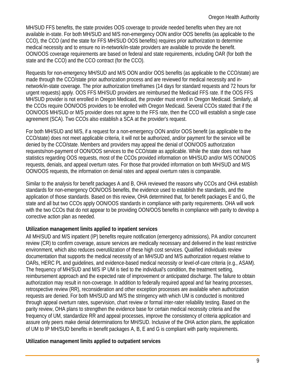MH/SUD FFS benefits, the state provides OOS coverage to provide needed benefits when they are not available in-state. For both MH/SUD and M/S non-emergency OON and/or OOS benefits (as applicable to the CCO), the CCO (and the state for FFS MH/SUD OOS benefits) requires prior authorization to determine medical necessity and to ensure no in-network/in-state providers are available to provide the benefit. OON/OOS coverage requirements are based on federal and state requirements, including OAR (for both the state and the CCO) and the CCO contract (for the CCO).

Requests for non-emergency MH/SUD and M/S OON and/or OOS benefits (as applicable to the CCO/state) are made through the CCO/state prior authorization process and are reviewed for medical necessity and innetwork/in-state coverage. The prior authorization timeframes (14 days for standard requests and 72 hours for urgent requests) apply. OOS FFS MH/SUD providers are reimbursed the Medicaid FFS rate. If the OOS FFS MH/SUD provider is not enrolled in Oregon Medicaid, the provider must enroll in Oregon Medicaid. Similarly, all the CCOs require OON/OOS providers to be enrolled with Oregon Medicaid. Several CCOs stated that if the OON/OOS MH/SUD or M/S provider does not agree to the FFS rate, then the CCO will establish a single case agreement (SCA). Two CCOs also establish a SCA at the provider's request.

For both MH/SUD and M/S, if a request for a non-emergency OON and/or OOS benefit (as applicable to the CCO/state) does not meet applicable criteria, it will not be authorized, and/or payment for the service will be denied by the CCO/state. Members and providers may appeal the denial of OON/OOS authorization requests/non-payment of OON/OOS services to the CCO/state as applicable. While the state does not have statistics regarding OOS requests, most of the CCOs provided information on MH/SUD and/or M/S OON/OOS requests, denials, and appeal overturn rates. For those that provided information on both MH/SUD and M/S OON/OOS requests, the information on denial rates and appeal overturn rates is comparable.

Similar to the analysis for benefit packages A and B, OHA reviewed the reasons why CCOs and OHA establish standards for non-emergency OON/OOS benefits, the evidence used to establish the standards, and the application of those standards. Based on this review, OHA determined that, for benefit packages E and G, the state and all but two CCOs apply OON/OOS standards in compliance with parity requirements. OHA will work with the two CCOs that do not appear to be providing OON/OOS benefits in compliance with parity to develop a corrective action plan as needed.

## <span id="page-10-0"></span>**Utilization management limits applied to inpatient services**

All MH/SUD and M/S inpatient (IP) benefits require notification (emergency admissions), PA and/or concurrent review (CR) to confirm coverage, assure services are medically necessary and delivered in the least restrictive environment, which also reduces overutilization of these high cost services. Qualified individuals review documentation that supports the medical necessity of an MH/SUD and M/S authorization request relative to OARs, HERC PL and guidelines, and evidence-based medical necessity or level-of-care criteria (e.g., ASAM). The frequency of MH/SUD and M/S IP UM is tied to the individual's condition, the treatment setting, reimbursement approach and the expected rate of improvement or anticipated discharge. The failure to obtain authorization may result in non-coverage. In addition to federally required appeal and fair hearing processes, retrospective review (RR), reconsideration and other exception processes are available when authorization requests are denied. For both MH/SUD and M/S the stringency with which UM is conducted is monitored through appeal overturn rates, supervision, chart review or formal inter-rater reliability testing. Based on the parity review, OHA plans to strengthen the evidence base for certain medical necessity criteria and the frequency of UM, standardize RR and appeal processes, improve the consistency of criteria application and assure only peers make denial determinations for MH/SUD. Inclusive of the OHA action plans, the application of UM to IP MH/SUD benefits in benefit packages A, B, E and G is compliant with parity requirements.

## <span id="page-10-1"></span>**Utilization management limits applied to outpatient services**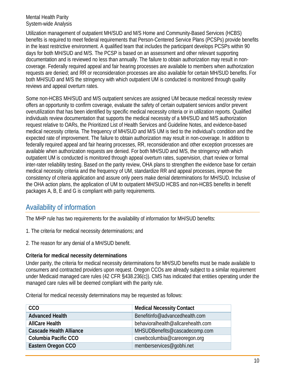Utilization management of outpatient MH/SUD and M/S Home and Community-Based Services (HCBS) benefits is required to meet federal requirements that Person-Centered Service Plans (PCSPs) provide benefits in the least restrictive environment. A qualified team that includes the participant develops PCSPs within 90 days for both MH/SUD and M/S. The PCSP is based on an assessment and other relevant supporting documentation and is reviewed no less than annually. The failure to obtain authorization may result in noncoverage. Federally required appeal and fair hearing processes are available to members when authorization requests are denied; and RR or reconsideration processes are also available for certain MH/SUD benefits. For both MH/SUD and M/S the stringency with which outpatient UM is conducted is monitored through quality reviews and appeal overturn rates.

Some non-HCBS MH/SUD and M/S outpatient services are assigned UM because medical necessity review offers an opportunity to confirm coverage, evaluate the safety of certain outpatient services and/or prevent overutilization that has been identified by specific medical necessity criteria or in utilization reports. Qualified individuals review documentation that supports the medical necessity of a MH/SUD and M/S authorization request relative to OARs, the Prioritized List of Health Services and Guideline Notes, and evidence-based medical necessity criteria. The frequency of MH/SUD and M/S UM is tied to the individual's condition and the expected rate of improvement. The failure to obtain authorization may result in non-coverage. In addition to federally required appeal and fair hearing processes, RR, reconsideration and other exception processes are available when authorization requests are denied. For both MH/SUD and M/S, the stringency with which outpatient UM is conducted is monitored through appeal overturn rates, supervision, chart review or formal inter-rater reliability testing. Based on the parity review, OHA plans to strengthen the evidence base for certain medical necessity criteria and the frequency of UM, standardize RR and appeal processes, improve the consistency of criteria application and assure only peers make denial determinations for MH/SUD. Inclusive of the OHA action plans, the application of UM to outpatient MH/SUD HCBS and non-HCBS benefits in benefit packages A, B, E and G is compliant with parity requirements.

# <span id="page-11-0"></span>Availability of information

The MHP rule has two requirements for the availability of information for MH/SUD benefits:

- 1. The criteria for medical necessity determinations; and
- 2. The reason for any denial of a MH/SUD benefit.

## **Criteria for medical necessity determinations**

Under parity, the criteria for medical necessity determinations for MH/SUD benefits must be made available to consumers and contracted providers upon request. Oregon CCOs are already subject to a similar requirement under Medicaid managed care rules (42 CFR §438.236(c)). CMS has indicated that entities operating under the managed care rules will be deemed compliant with the parity rule.

Criterial for medical necessity determinations may be requested as follows:

| <b>CCO</b>                     | <b>Medical Necessity Contact</b>   |
|--------------------------------|------------------------------------|
| <b>Advanced Health</b>         | Benefitinfo@advancedhealth.com     |
| <b>AllCare Health</b>          | behavioralhealth@allcarehealth.com |
| <b>Cascade Health Alliance</b> | MHSUDBenefits@cascadecomp.com      |
| Columbia Pacific CCO           | cswebcolumbia@careoregon.org       |
| Eastern Oregon CCO             | memberservices@gobhi.net           |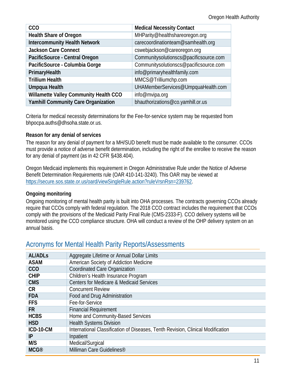| <b>CCO</b>                                 | <b>Medical Necessity Contact</b>       |
|--------------------------------------------|----------------------------------------|
| <b>Health Share of Oregon</b>              | MHParity@healthshareoregon.org         |
| <b>Intercommunity Health Network</b>       | carecoordinationteam@samhealth.org     |
| <b>Jackson Care Connect</b>                | cswebjackson@careoregon.org            |
| PacificSource - Central Oregon             | Communitysolutionscs@pacificsource.com |
| PacificSource - Columbia Gorge             | Communitysolutionscs@pacificsource.com |
| PrimaryHealth                              | info@primaryhealthfamily.com           |
| <b>Trillium Health</b>                     | MMCS@Trilliumchp.com                   |
| Umpqua Health                              | UHAMemberServices@UmpquaHealth.com     |
| Willamette Valley Community Health CCO     | info@mvipa.org                         |
| <b>Yamhill Community Care Organization</b> | bhauthorizations@co.yamhill.or.us      |

Criteria for medical necessity determinations for the Fee-for-service system may be requested from bhpocpa.auths@dhsoha.state.or.us.

## **Reason for any denial of services**

The reason for any denial of payment for a MH/SUD benefit must be made available to the consumer. CCOs must provide a notice of adverse benefit determination, including the right of the enrollee to receive the reason for any denial of payment (as in 42 CFR §438.404).

Oregon Medicaid implements this requirement in Oregon Administrative Rule under the Notice of Adverse Benefit Determination Requirements rule (OAR 410-141-3240). This OAR may be viewed at [https://secure.sos.state.or.us/oard/viewSingleRule.action?ruleVrsnRsn=239762.](https://secure.sos.state.or.us/oard/viewSingleRule.action?ruleVrsnRsn=239762)

# **Ongoing monitoring**

Ongoing monitoring of mental health parity is built into OHA processes. The contracts governing CCOs already require that CCOs comply with federal regulation. The 2018 CCO contract includes the requirement that CCOs comply with the provisions of the Medicaid Parity Final Rule (CMS-2333-F). CCO delivery systems will be monitored using the CCO compliance structure. OHA will conduct a review of the OHP delivery system on an annual basis.

# <span id="page-12-0"></span>Acronyms for Mental Health Parity Reports/Assessments

| <b>AL/ADLs</b>   | Aggregate Lifetime or Annual Dollar Limits                                      |
|------------------|---------------------------------------------------------------------------------|
| <b>ASAM</b>      | American Society of Addiction Medicine                                          |
| <b>CCO</b>       | <b>Coordinated Care Organization</b>                                            |
| <b>CHIP</b>      | Children's Health Insurance Program                                             |
| <b>CMS</b>       | <b>Centers for Medicare &amp; Medicaid Services</b>                             |
| <b>CR</b>        | <b>Concurrent Review</b>                                                        |
| <b>FDA</b>       | Food and Drug Administration                                                    |
| <b>FFS</b>       | Fee-for-Service                                                                 |
| <b>FR</b>        | <b>Financial Requirement</b>                                                    |
| <b>HCBS</b>      | Home and Community-Based Services                                               |
| <b>HSD</b>       | <b>Health Systems Division</b>                                                  |
| <b>ICD-10-CM</b> | International Classification of Diseases, Tenth Revision, Clinical Modification |
| IP               | Inpatient                                                                       |
| M/S              | Medical/Surgical                                                                |
| <b>MCG®</b>      | Milliman Care Guidelines <sup>®</sup>                                           |